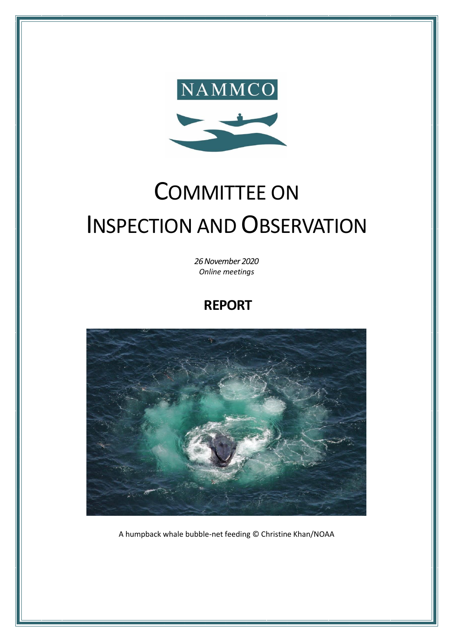

# COMMITTEE ON INSPECTION AND OBSERVATION

*26 November 2020 Online meetings*

## **REPORT**



A humpback whale bubble-net feeding © Christine Khan/NOAA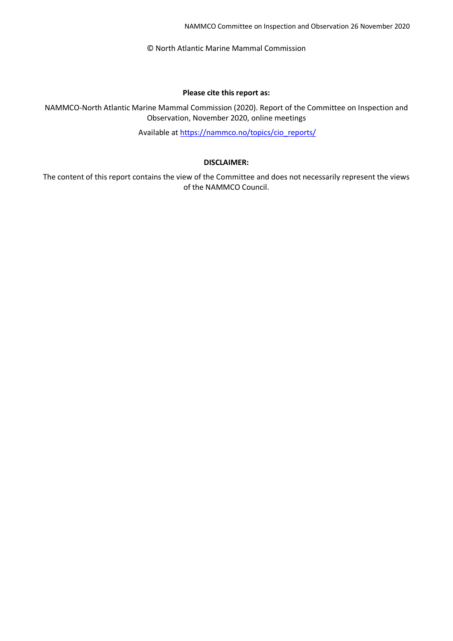NAMMCO Committee on Inspection and Observation 26 November 2020

© North Atlantic Marine Mammal Commission

#### **Please cite this report as:**

NAMMCO-North Atlantic Marine Mammal Commission (2020). Report of the Committee on Inspection and Observation, November 2020, online meetings

Available at [https://nammco.no/topics/cio\\_reports/](https://nammco.no/topics/cio_reports/)

#### **DISCLAIMER:**

The content of this report contains the view of the Committee and does not necessarily represent the views of the NAMMCO Council.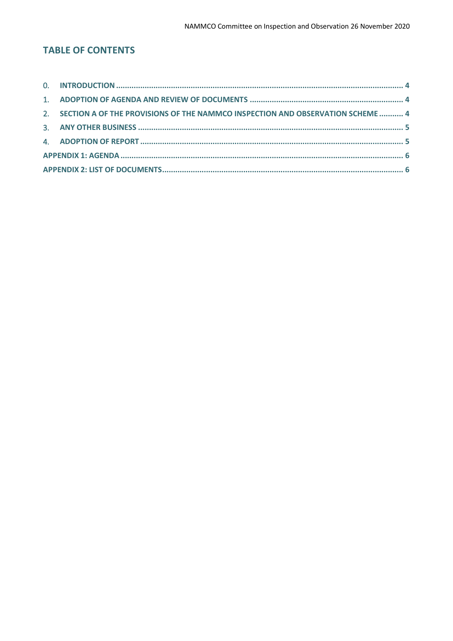## **TABLE OF CONTENTS**

| 2. SECTION A OF THE PROVISIONS OF THE NAMMCO INSPECTION AND OBSERVATION SCHEME  4 |  |
|-----------------------------------------------------------------------------------|--|
|                                                                                   |  |
|                                                                                   |  |
|                                                                                   |  |
|                                                                                   |  |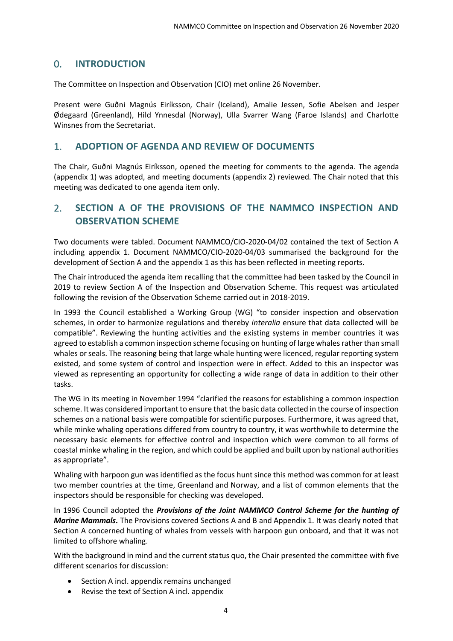## <span id="page-3-0"></span>0. **INTRODUCTION**

The Committee on Inspection and Observation (CIO) met online 26 November.

Present were Guðni Magnús Eiríksson, Chair (Iceland), Amalie Jessen, Sofie Abelsen and Jesper Ødegaard (Greenland), Hild Ynnesdal (Norway), Ulla Svarrer Wang (Faroe Islands) and Charlotte Winsnes from the Secretariat.

#### <span id="page-3-1"></span>1. **ADOPTION OF AGENDA AND REVIEW OF DOCUMENTS**

The Chair, Guðni Magnús Eiríksson, opened the meeting for comments to the agenda. The agenda (appendix 1) was adopted, and meeting documents (appendix 2) reviewed. The Chair noted that this meeting was dedicated to one agenda item only.

## <span id="page-3-2"></span>2. **SECTION A OF THE PROVISIONS OF THE NAMMCO INSPECTION AND OBSERVATION SCHEME**

Two documents were tabled. Document NAMMCO/CIO-2020-04/02 contained the text of Section A including appendix 1. Document NAMMCO/CIO-2020-04/03 summarised the background for the development of Section A and the appendix 1 as this has been reflected in meeting reports.

The Chair introduced the agenda item recalling that the committee had been tasked by the Council in 2019 to review Section A of the Inspection and Observation Scheme. This request was articulated following the revision of the Observation Scheme carried out in 2018-2019.

In 1993 the Council established a Working Group (WG) "to consider inspection and observation schemes, in order to harmonize regulations and thereby *interalia* ensure that data collected will be compatible". Reviewing the hunting activities and the existing systems in member countries it was agreed to establish a common inspection scheme focusing on hunting of large whales rather than small whales or seals. The reasoning being that large whale hunting were licenced, regular reporting system existed, and some system of control and inspection were in effect. Added to this an inspector was viewed as representing an opportunity for collecting a wide range of data in addition to their other tasks.

The WG in its meeting in November 1994 "clarified the reasons for establishing a common inspection scheme. It was considered important to ensure that the basic data collected in the course of inspection schemes on a national basis were compatible for scientific purposes. Furthermore, it was agreed that, while minke whaling operations differed from country to country, it was worthwhile to determine the necessary basic elements for effective control and inspection which were common to all forms of coastal minke whaling in the region, and which could be applied and built upon by national authorities as appropriate".

Whaling with harpoon gun was identified as the focus hunt since this method was common for at least two member countries at the time, Greenland and Norway, and a list of common elements that the inspectors should be responsible for checking was developed.

In 1996 Council adopted the *Provisions of the Joint NAMMCO Control Scheme for the hunting of Marine Mammals.* The Provisions covered Sections A and B and Appendix 1. It was clearly noted that Section A concerned hunting of whales from vessels with harpoon gun onboard, and that it was not limited to offshore whaling.

With the background in mind and the current status quo, the Chair presented the committee with five different scenarios for discussion:

- Section A incl. appendix remains unchanged
- Revise the text of Section A incl. appendix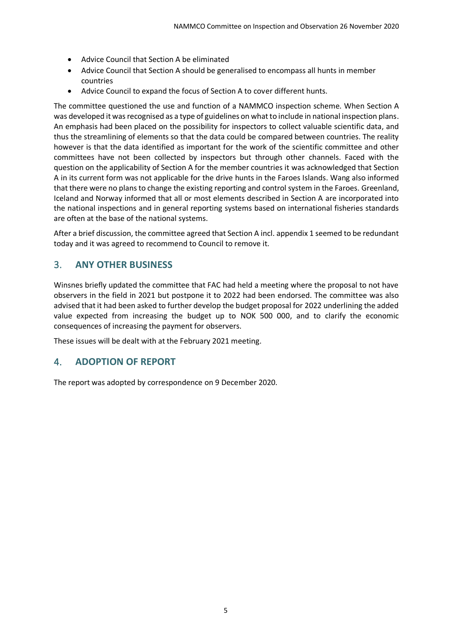- Advice Council that Section A be eliminated
- Advice Council that Section A should be generalised to encompass all hunts in member countries
- Advice Council to expand the focus of Section A to cover different hunts.

The committee questioned the use and function of a NAMMCO inspection scheme. When Section A was developed it was recognised as a type of guidelines on what to include in national inspection plans. An emphasis had been placed on the possibility for inspectors to collect valuable scientific data, and thus the streamlining of elements so that the data could be compared between countries. The reality however is that the data identified as important for the work of the scientific committee and other committees have not been collected by inspectors but through other channels. Faced with the question on the applicability of Section A for the member countries it was acknowledged that Section A in its current form was not applicable for the drive hunts in the Faroes Islands. Wang also informed that there were no plans to change the existing reporting and control system in the Faroes. Greenland, Iceland and Norway informed that all or most elements described in Section A are incorporated into the national inspections and in general reporting systems based on international fisheries standards are often at the base of the national systems.

After a brief discussion, the committee agreed that Section A incl. appendix 1 seemed to be redundant today and it was agreed to recommend to Council to remove it.

### <span id="page-4-0"></span>3. **ANY OTHER BUSINESS**

Winsnes briefly updated the committee that FAC had held a meeting where the proposal to not have observers in the field in 2021 but postpone it to 2022 had been endorsed. The committee was also advised that it had been asked to further develop the budget proposal for 2022 underlining the added value expected from increasing the budget up to NOK 500 000, and to clarify the economic consequences of increasing the payment for observers.

These issues will be dealt with at the February 2021 meeting.

#### <span id="page-4-1"></span>4. **ADOPTION OF REPORT**

The report was adopted by correspondence on 9 December 2020.